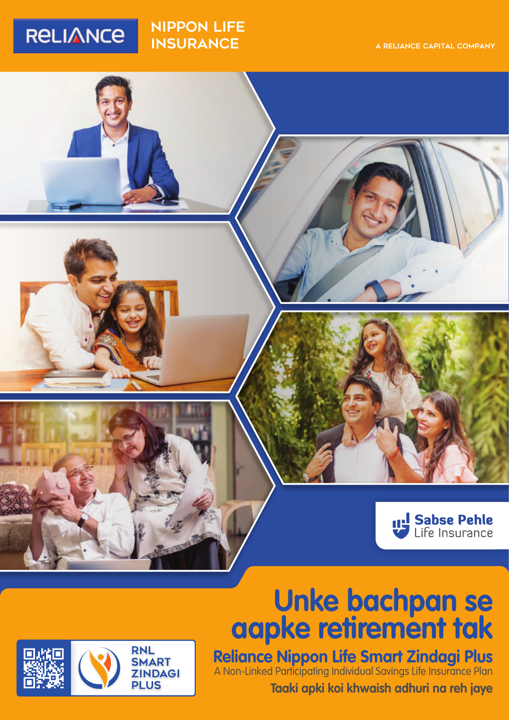## **RELIANCE**

#### nippon LIFE **INSURANCE**



# **Unke bachpan se aapke retirement tak**



### **Reliance Nippon Life Smart Zindagi Plus**

**Taaki apki koi khwaish adhuri na reh jaye** A Non-Linked Participating Individual Savings Life Insurance Plan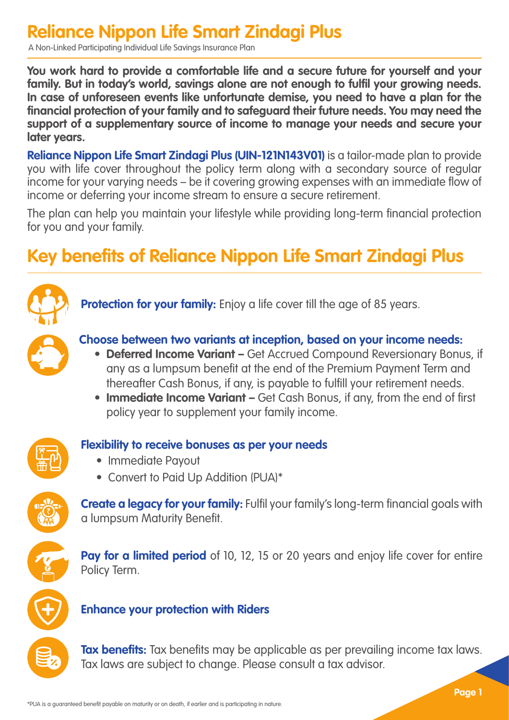### **Reliance Nippon Life Smart Zindagi Plus**

A Non-Linked Participating Individual Life Savings Insurance Plan

**You work hard to provide a comfortable life and a secure future for yourself and your family. But in today's world, savings alone are not enough to fulfil your growing needs. In case of unforeseen events like unfortunate demise, you need to have a plan for the financial protection of your family and to safeguard their future needs. You may need the support of a supplementary source of income to manage your needs and secure your later years.** 

**Reliance Nippon Life Smart Zindagi Plus (UIN-121N143V01)** is a tailor-made plan to provide you with life cover throughout the policy term along with a secondary source of regular income for your varying needs – be it covering growing expenses with an immediate flow of income or deferring your income stream to ensure a secure retirement.

The plan can help you maintain your lifestyle while providing long-term financial protection for you and your family.

### **Key benefits of Reliance Nippon Life Smart Zindagi Plus**



**Protection for your family:** Enjoy a life cover till the age of 85 years.



#### **Choose between two variants at inception, based on your income needs:**

- **Deferred Income Variant –** Get Accrued Compound Reversionary Bonus, if any as a lumpsum benefit at the end of the Premium Payment Term and thereafter Cash Bonus, if any, is payable to fulfill your retirement needs.
- **Immediate Income Variant –** Get Cash Bonus, if any, from the end of first policy year to supplement your family income.



#### **Flexibility to receive bonuses as per your needs**

- Immediate Payout
- Convert to Paid Up Addition (PUA)\*



**Create a legacy for your family:** Fulfil your family's long-term financial goals with a lumpsum Maturity Benefit.



**Pay for a limited period** of 10, 12, 15 or 20 years and enjoy life cover for entire Policy Term.



#### **Enhance your protection with Riders**

**Tax benefits:** Tax benefits may be applicable as per prevailing income tax laws. Tax laws are subject to change. Please consult a tax advisor.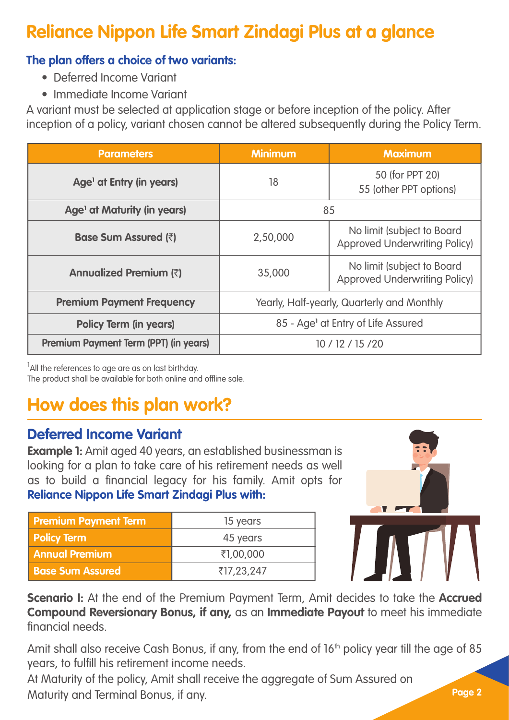### **Reliance Nippon Life Smart Zindagi Plus at a glance**

#### **The plan offers a choice of two variants:**

- Deferred Income Variant
- Immediate Income Variant

A variant must be selected at application stage or before inception of the policy. After inception of a policy, variant chosen cannot be altered subsequently during the Policy Term.

| <b>Parameters</b>                       | <b>Minimum</b>                             | <b>Maximum</b>                                                     |
|-----------------------------------------|--------------------------------------------|--------------------------------------------------------------------|
| Age <sup>1</sup> at Entry (in years)    | 18                                         | 50 (for PPT 20)<br>55 (other PPT options)                          |
| Age <sup>1</sup> at Maturity (in years) | 85                                         |                                                                    |
| <b>Base Sum Assured (₹)</b>             | 2,50,000                                   | No limit (subject to Board<br><b>Approved Underwriting Policy)</b> |
| Annualized Premium (₹)                  | 35,000                                     | No limit (subject to Board<br><b>Approved Underwriting Policy)</b> |
| <b>Premium Payment Frequency</b>        | Yearly, Half-yearly, Quarterly and Monthly |                                                                    |
| <b>Policy Term (in years)</b>           |                                            | 85 - Age <sup>1</sup> at Entry of Life Assured                     |
| Premium Payment Term (PPT) (in years)   | 10 / 12 / 15 / 20                          |                                                                    |

<sup>1</sup>All the references to age are as on last birthday. The product shall be available for both online and offline sale.

### **How does this plan work?**

### **Deferred Income Variant**

**Example 1:** Amit aged 40 years, an established businessman is looking for a plan to take care of his retirement needs as well as to build a financial legacy for his family. Amit opts for **Reliance Nippon Life Smart Zindagi Plus with:**

| <b>Premium Payment Term</b> | 15 years   |
|-----------------------------|------------|
| <b>Policy Term</b>          | 45 years   |
| <b>Annual Premium</b>       | ₹1,00,000  |
| <b>Base Sum Assured</b>     | ₹17,23,247 |



**Scenario I:** At the end of the Premium Payment Term, Amit decides to take the **Accrued Compound Reversionary Bonus, if any,** as an **Immediate Payout** to meet his immediate financial needs.

Amit shall also receive Cash Bonus, if any, from the end of 16<sup>th</sup> policy year till the age of 85 years, to fulfill his retirement income needs.

At Maturity of the policy, Amit shall receive the aggregate of Sum Assured on Maturity and Terminal Bonus, if any.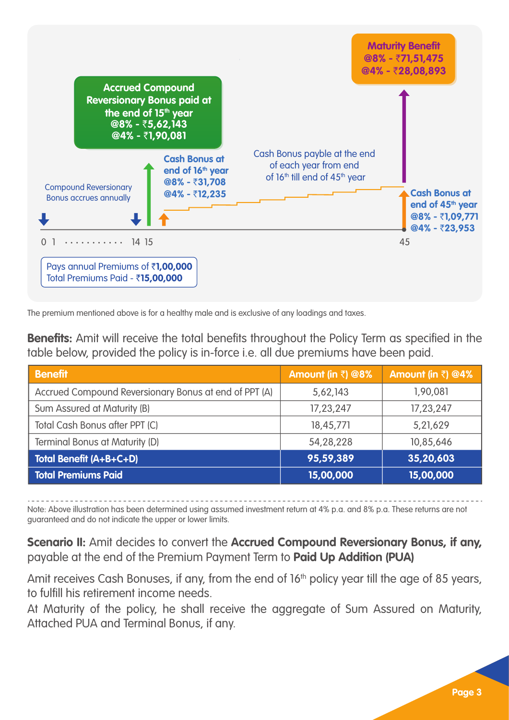

The premium mentioned above is for a healthy male and is exclusive of any loadings and taxes.

**Benefits:** Amit will receive the total benefits throughout the Policy Term as specified in the table below, provided the policy is in-force i.e. all due premiums have been paid.

| <b>Benefit</b>                                        | Amount (in $\bar{z}$ ) @8% | Amount (in $\bar{z}$ ) @4% |
|-------------------------------------------------------|----------------------------|----------------------------|
| Accrued Compound Reversionary Bonus at end of PPT (A) | 5,62,143                   | 1.90.081                   |
| Sum Assured at Maturity (B)                           | 17,23,247                  | 17,23,247                  |
| Total Cash Bonus after PPT (C)                        | 18,45,771                  | 5,21,629                   |
| <b>Terminal Bonus at Maturity (D)</b>                 | 54.28.228                  | 10.85.646                  |
| Total Benefit (A+B+C+D)                               | 95,59,389                  | 35,20,603                  |
| <b>Total Premiums Paid</b>                            | 15,00,000                  | 15,00,000                  |

Note: Above illustration has been determined using assumed investment return at 4% p.a. and 8% p.a. These returns are not guaranteed and do not indicate the upper or lower limits.

**Scenario II:** Amit decides to convert the **Accrued Compound Reversionary Bonus, if any,** payable at the end of the Premium Payment Term to **Paid Up Addition (PUA)**

Amit receives Cash Bonuses, if any, from the end of 16<sup>th</sup> policy year till the age of 85 years, to fulfill his retirement income needs.

At Maturity of the policy, he shall receive the aggregate of Sum Assured on Maturity, Attached PUA and Terminal Bonus, if any.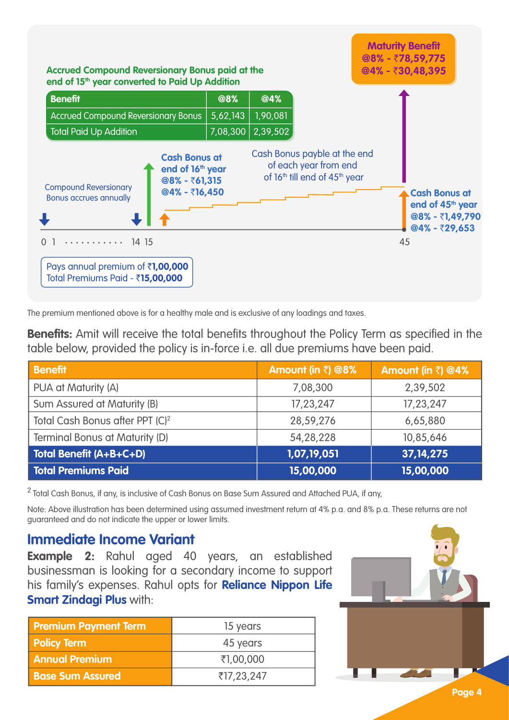

The premium mentioned above is for a healthy male and is exclusive of any loadings and taxes.

**Benefits:** Amit will receive the total benefits throughout the Policy Term as specified in the table below, provided the policy is in-force i.e. all due premiums have been paid.

| <b>Benefit</b>                              | Amount (in $\bar{z}$ ) @8% | Amount (in ₹) @4% |
|---------------------------------------------|----------------------------|-------------------|
| PUA at Maturity (A)                         | 7.08.300                   | 2,39,502          |
| Sum Assured at Maturity (B)                 | 17,23,247                  | 17,23,247         |
| Total Cash Bonus after PPT (C) <sup>2</sup> | 28.59.276                  | 6,65,880          |
| Terminal Bonus at Maturity (D)              | 54.28.228                  | 10.85.646         |
| Total Benefit (A+B+C+D)                     | 1,07,19,051                | 37, 14, 275       |
| <b>Total Premiums Paid</b>                  | 15,00,000                  | 15,00,000         |

<sup>2</sup> Total Cash Bonus, if any, is inclusive of Cash Bonus on Base Sum Assured and Attached PUA, if any,

Note: Above illustration has been determined using assumed investment return at 4% p.a. and 8% p.a. These returns are not guaranteed and do not indicate the upper or lower limits.

#### **Immediate Income Variant**

**Example 2:** Rahul aged 40 years, an established businessman is looking for a secondary income to support his family's expenses. Rahul opts for **Reliance Nippon Life Smart Zindagi Plus** with:

| <b>Premium Payment Term</b> | 15 years   |
|-----------------------------|------------|
| <b>Policy Term</b>          | 45 years   |
| <b>Annual Premium</b>       | ₹1,00,000  |
| <b>Base Sum Assured</b>     | ₹17,23,247 |

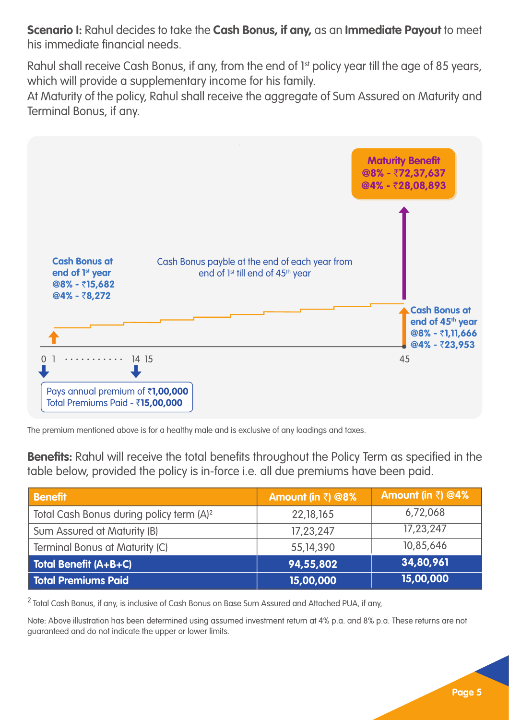**Scenario I:** Rahul decides to take the **Cash Bonus, if any,** as an **Immediate Payout** to meet his immediate financial needs.

Rahul shall receive Cash Bonus, if any, from the end of 1st policy year till the age of 85 years, which will provide a supplementary income for his family.

At Maturity of the policy, Rahul shall receive the aggregate of Sum Assured on Maturity and Terminal Bonus, if any.



The premium mentioned above is for a healthy male and is exclusive of any loadings and taxes.

**Benefits:** Rahul will receive the total benefits throughout the Policy Term as specified in the table below, provided the policy is in-force i.e. all due premiums have been paid.

| <b>Benefit</b>                                       | Amount (in $\bar{z}$ ) @8% | Amount (in ₹) @4% |
|------------------------------------------------------|----------------------------|-------------------|
| Total Cash Bonus during policy term (A) <sup>2</sup> | 22, 18, 165                | 6,72,068          |
| Sum Assured at Maturity (B)                          | 17,23,247                  | 17,23,247         |
| Terminal Bonus at Maturity (C)                       | 55,14,390                  | 10.85.646         |
| <b>Total Benefit (A+B+C)</b>                         | 94,55,802                  | 34,80,961         |
| <b>Total Premiums Paid</b>                           | 15,00,000                  | 15,00,000         |

<sup>2</sup> Total Cash Bonus, if any, is inclusive of Cash Bonus on Base Sum Assured and Attached PUA, if any,

Note: Above illustration has been determined using assumed investment return at 4% p.a. and 8% p.a. These returns are not guaranteed and do not indicate the upper or lower limits.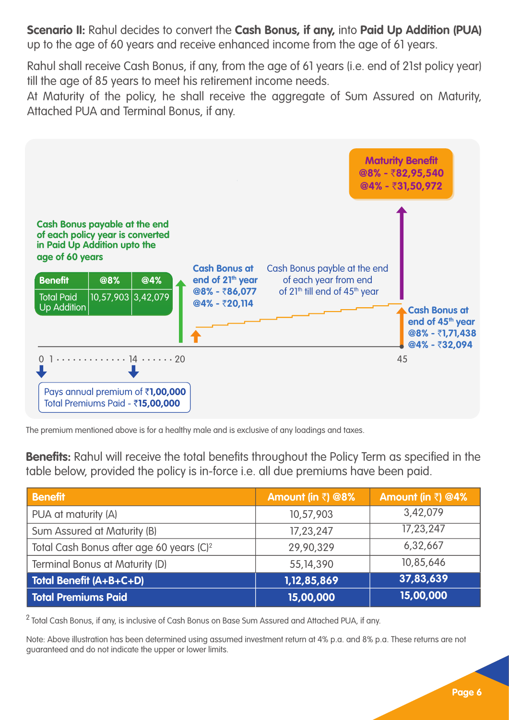**Scenario II:** Rahul decides to convert the **Cash Bonus, if any,** into **Paid Up Addition (PUA)** up to the age of 60 years and receive enhanced income from the age of 61 years.

Rahul shall receive Cash Bonus, if any, from the age of 61 years (i.e. end of 21st policy year) till the age of 85 years to meet his retirement income needs.

At Maturity of the policy, he shall receive the aggregate of Sum Assured on Maturity, Attached PUA and Terminal Bonus, if any.



The premium mentioned above is for a healthy male and is exclusive of any loadings and taxes.

**Benefits:** Rahul will receive the total benefits throughout the Policy Term as specified in the table below, provided the policy is in-force i.e. all due premiums have been paid.

| <b>Benefit</b>                                       | Amount (in $\bar{z}$ ) @8% | Amount (in ₹) @4% |
|------------------------------------------------------|----------------------------|-------------------|
| PUA at maturity (A)                                  | 10,57,903                  | 3.42.079          |
| Sum Assured at Maturity (B)                          | 17.23.247                  | 17.23.247         |
| Total Cash Bonus after age 60 years (C) <sup>2</sup> | 29.90.329                  | 6,32,667          |
| Terminal Bonus at Maturity (D)                       | 55,14,390                  | 10.85.646         |
| Total Benefit (A+B+C+D)                              | 1,12,85,869                | 37,83,639         |
| Total Premiums Paid                                  | 15,00,000                  | 15,00,000         |

 $2$  Total Cash Bonus, if any, is inclusive of Cash Bonus on Base Sum Assured and Attached PUA, if any.

Note: Above illustration has been determined using assumed investment return at 4% p.a. and 8% p.a. These returns are not guaranteed and do not indicate the upper or lower limits.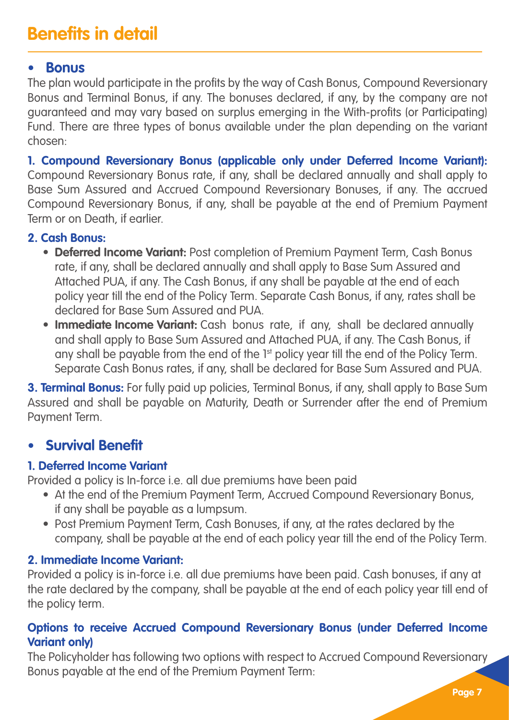### **Benefits in detail**

#### **• Bonus**

The plan would participate in the profits by the way of Cash Bonus, Compound Reversionary Bonus and Terminal Bonus, if any. The bonuses declared, if any, by the company are not guaranteed and may vary based on surplus emerging in the With-profits (or Participating) Fund. There are three types of bonus available under the plan depending on the variant chosen:

**1. Compound Reversionary Bonus (applicable only under Deferred Income Variant):**  Compound Reversionary Bonus rate, if any, shall be declared annually and shall apply to Base Sum Assured and Accrued Compound Reversionary Bonuses, if any. The accrued Compound Reversionary Bonus, if any, shall be payable at the end of Premium Payment Term or on Death, if earlier.

#### **2. Cash Bonus:**

- **Deferred Income Variant:** Post completion of Premium Payment Term, Cash Bonus rate, if any, shall be declared annually and shall apply to Base Sum Assured and Attached PUA, if any. The Cash Bonus, if any shall be payable at the end of each policy year till the end of the Policy Term. Separate Cash Bonus, if any, rates shall be declared for Base Sum Assured and PUA.
- **Immediate Income Variant:** Cash bonus rate, if any, shall be declared annually and shall apply to Base Sum Assured and Attached PUA, if any. The Cash Bonus, if any shall be payable from the end of the 1<sup>st</sup> policy year till the end of the Policy Term. Separate Cash Bonus rates, if any, shall be declared for Base Sum Assured and PUA.

**3. Terminal Bonus:** For fully paid up policies, Terminal Bonus, if any, shall apply to Base Sum Assured and shall be payable on Maturity, Death or Surrender after the end of Premium Payment Term.

#### **• Survival Benefit**

#### **1. Deferred Income Variant**

Provided a policy is In-force i.e. all due premiums have been paid

- At the end of the Premium Payment Term, Accrued Compound Reversionary Bonus, if any shall be payable as a lumpsum.
- Post Premium Payment Term, Cash Bonuses, if any, at the rates declared by the company, shall be payable at the end of each policy year till the end of the Policy Term.

#### **2. Immediate Income Variant:**

Provided a policy is in-force i.e. all due premiums have been paid. Cash bonuses, if any at the rate declared by the company, shall be payable at the end of each policy year till end of the policy term.

#### **Options to receive Accrued Compound Reversionary Bonus (under Deferred Income Variant only)**

The Policyholder has following two options with respect to Accrued Compound Reversionary Bonus payable at the end of the Premium Payment Term: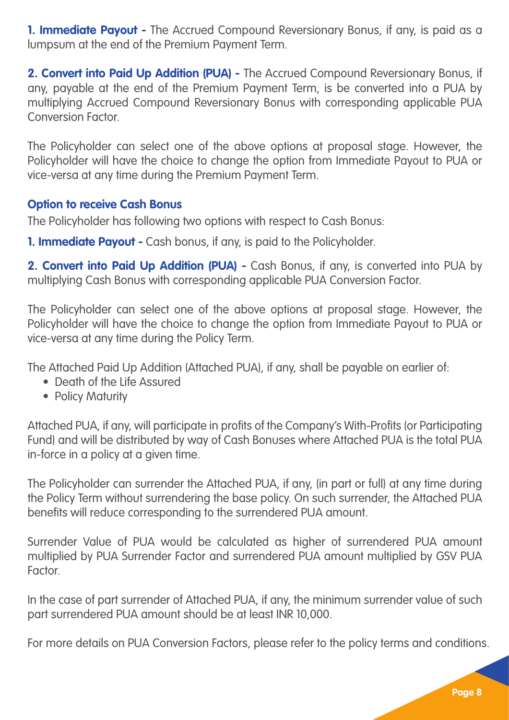**1. Immediate Payout -** The Accrued Compound Reversionary Bonus, if any, is paid as a lumpsum at the end of the Premium Payment Term.

**2. Convert into Paid Up Addition (PUA) -** The Accrued Compound Reversionary Bonus, if any, payable at the end of the Premium Payment Term, is be converted into a PUA by multiplying Accrued Compound Reversionary Bonus with corresponding applicable PUA Conversion Factor.

The Policyholder can select one of the above options at proposal stage. However, the Policyholder will have the choice to change the option from Immediate Payout to PUA or vice-versa at any time during the Premium Payment Term.

#### **Option to receive Cash Bonus**

The Policyholder has following two options with respect to Cash Bonus:

**1. Immediate Payout -** Cash bonus, if any, is paid to the Policyholder.

**2. Convert into Paid Up Addition (PUA) -** Cash Bonus, if any, is converted into PUA by multiplying Cash Bonus with corresponding applicable PUA Conversion Factor.

The Policyholder can select one of the above options at proposal stage. However, the Policyholder will have the choice to change the option from Immediate Payout to PUA or vice-versa at any time during the Policy Term.

The Attached Paid Up Addition (Attached PUA), if any, shall be payable on earlier of:

- Death of the Life Assured
- Policy Maturity

Attached PUA, if any, will participate in profits of the Company's With-Profits (or Participating Fund) and will be distributed by way of Cash Bonuses where Attached PUA is the total PUA in-force in a policy at a given time.

The Policyholder can surrender the Attached PUA, if any, (in part or full) at any time during the Policy Term without surrendering the base policy. On such surrender, the Attached PUA benefits will reduce corresponding to the surrendered PUA amount.

Surrender Value of PUA would be calculated as higher of surrendered PUA amount multiplied by PUA Surrender Factor and surrendered PUA amount multiplied by GSV PUA Factor.

In the case of part surrender of Attached PUA, if any, the minimum surrender value of such part surrendered PUA amount should be at least INR 10,000.

For more details on PUA Conversion Factors, please refer to the policy terms and conditions.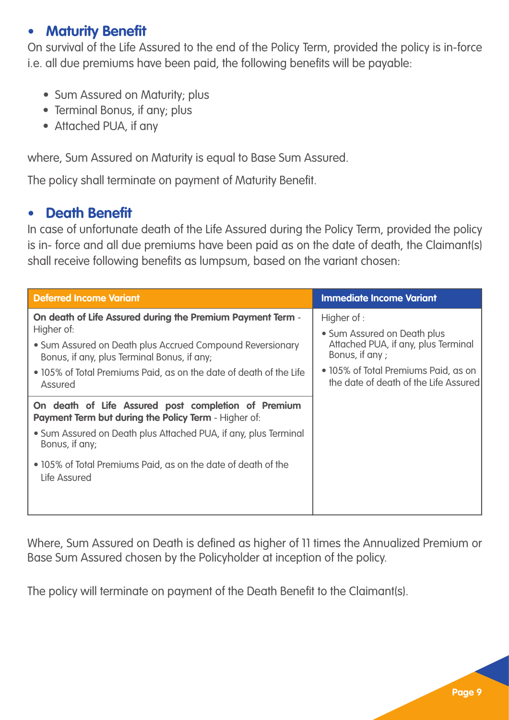#### **• Maturity Benefit**

On survival of the Life Assured to the end of the Policy Term, provided the policy is in-force i.e. all due premiums have been paid, the following benefits will be payable:

- Sum Assured on Maturity; plus
- Terminal Bonus, if any; plus
- Attached PUA, if any

where, Sum Assured on Maturity is equal to Base Sum Assured.

The policy shall terminate on payment of Maturity Benefit.

#### **• Death Benefit**

In case of unfortunate death of the Life Assured during the Policy Term, provided the policy is in- force and all due premiums have been paid as on the date of death, the Claimant(s) shall receive following benefits as lumpsum, based on the variant chosen:

| <b>Deferred Income Variant</b>                                                                                                                                                                                                                                        | <b>Immediate Income Variant</b>                                                                                                                                                       |
|-----------------------------------------------------------------------------------------------------------------------------------------------------------------------------------------------------------------------------------------------------------------------|---------------------------------------------------------------------------------------------------------------------------------------------------------------------------------------|
| On death of Life Assured during the Premium Payment Term -<br>Higher of:<br>• Sum Assured on Death plus Accrued Compound Reversionary<br>Bonus, if any, plus Terminal Bonus, if any;<br>• 105% of Total Premiums Paid, as on the date of death of the Life<br>Assured | Higher of :<br>• Sum Assured on Death plus<br>Attached PUA, if any, plus Terminal<br>Bonus, if any ;<br>• 105% of Total Premiums Paid, as on<br>the date of death of the Life Assured |
| On death of Life Assured post completion of Premium<br><b>Payment Term but during the Policy Term - Higher of:</b><br>• Sum Assured on Death plus Attached PUA, if any, plus Terminal<br>Bonus, if any;                                                               |                                                                                                                                                                                       |
| • 105% of Total Premiums Paid, as on the date of death of the<br>Life Assured                                                                                                                                                                                         |                                                                                                                                                                                       |

Where, Sum Assured on Death is defined as higher of 11 times the Annualized Premium or Base Sum Assured chosen by the Policyholder at inception of the policy.

The policy will terminate on payment of the Death Benefit to the Claimant(s).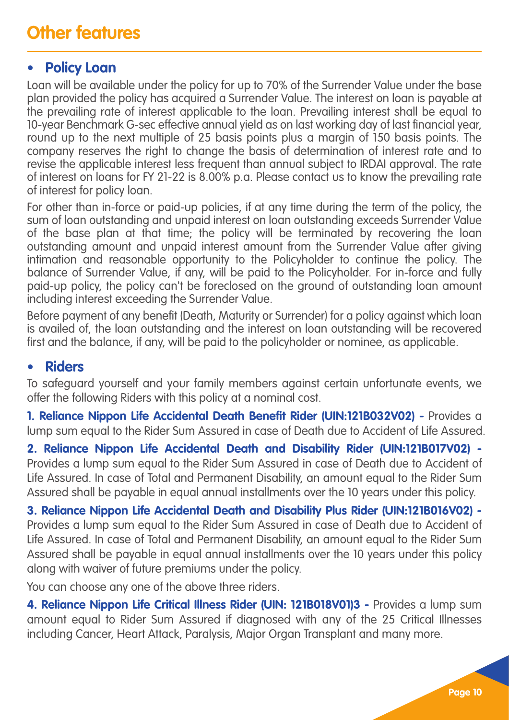#### **• Policy Loan**

Loan will be available under the policy for up to 70% of the Surrender Value under the base plan provided the policy has acquired a Surrender Value. The interest on loan is payable at the prevailing rate of interest applicable to the loan. Prevailing interest shall be equal to 10-year Benchmark G-sec effective annual yield as on last working day of last financial year, round up to the next multiple of 25 basis points plus a margin of 150 basis points. The company reserves the right to change the basis of determination of interest rate and to revise the applicable interest less frequent than annual subject to IRDAI approval. The rate of interest on loans for FY 21-22 is 8.00% p.a. Please contact us to know the prevailing rate of interest for policy loan.

For other than in-force or paid-up policies, if at any time during the term of the policy, the sum of loan outstanding and unpaid interest on loan outstanding exceeds Surrender Value of the base plan at that time; the policy will be terminated by recovering the loan outstanding amount and unpaid interest amount from the Surrender Value after giving intimation and reasonable opportunity to the Policyholder to continue the policy. The balance of Surrender Value, if any, will be paid to the Policyholder. For in-force and fully paid-up policy, the policy can't be foreclosed on the ground of outstanding loan amount including interest exceeding the Surrender Value.

Before payment of any benefit (Death, Maturity or Surrender) for a policy against which loan is availed of, the loan outstanding and the interest on loan outstanding will be recovered first and the balance, if any, will be paid to the policyholder or nominee, as applicable.

#### **• Riders**

To safeguard yourself and your family members against certain unfortunate events, we offer the following Riders with this policy at a nominal cost.

**1. Reliance Nippon Life Accidental Death Benefit Rider (UIN:121B032V02) -** Provides a lump sum equal to the Rider Sum Assured in case of Death due to Accident of Life Assured.

**2. Reliance Nippon Life Accidental Death and Disability Rider (UIN:121B017V02) -** Provides a lump sum equal to the Rider Sum Assured in case of Death due to Accident of Life Assured. In case of Total and Permanent Disability, an amount equal to the Rider Sum Assured shall be payable in equal annual installments over the 10 years under this policy.

**3. Reliance Nippon Life Accidental Death and Disability Plus Rider (UIN:121B016V02) -** Provides a lump sum equal to the Rider Sum Assured in case of Death due to Accident of Life Assured. In case of Total and Permanent Disability, an amount equal to the Rider Sum Assured shall be payable in equal annual installments over the 10 years under this policy along with waiver of future premiums under the policy.

You can choose any one of the above three riders.

**4. Reliance Nippon Life Critical Illness Rider (UIN: 121B018V01)3 -** Provides a lump sum amount equal to Rider Sum Assured if diagnosed with any of the 25 Critical Illnesses including Cancer, Heart Attack, Paralysis, Major Organ Transplant and many more.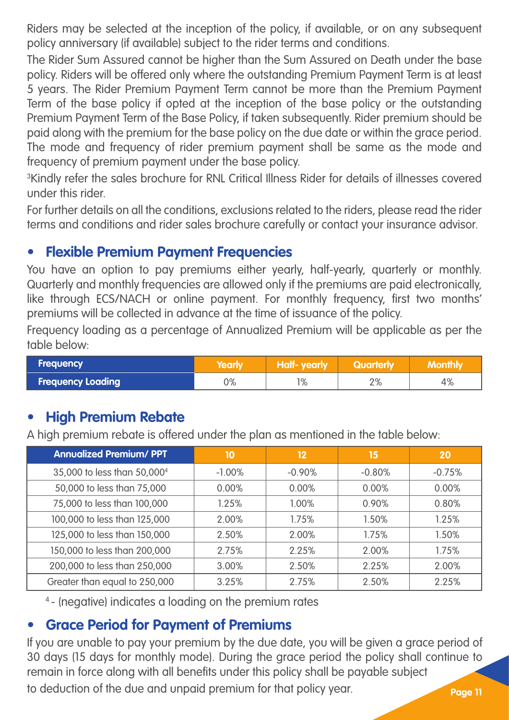Riders may be selected at the inception of the policy, if available, or on any subsequent policy anniversary (if available) subject to the rider terms and conditions.

The Rider Sum Assured cannot be higher than the Sum Assured on Death under the base policy. Riders will be offered only where the outstanding Premium Payment Term is at least 5 years. The Rider Premium Payment Term cannot be more than the Premium Payment Term of the base policy if opted at the inception of the base policy or the outstanding Premium Payment Term of the Base Policy, if taken subsequently. Rider premium should be paid along with the premium for the base policy on the due date or within the grace period. The mode and frequency of rider premium payment shall be same as the mode and frequency of premium payment under the base policy.

<sup>3</sup>Kindly refer the sales brochure for RNL Critical Illness Rider for details of illnesses covered under this rider.

For further details on all the conditions, exclusions related to the riders, please read the rider terms and conditions and rider sales brochure carefully or contact your insurance advisor.

#### **• Flexible Premium Payment Frequencies**

You have an option to pay premiums either yearly, half-yearly, quarterly or monthly. Quarterly and monthly frequencies are allowed only if the premiums are paid electronically, like through ECS/NACH or online payment. For monthly frequency, first two months' premiums will be collected in advance at the time of issuance of the policy.

Frequency loading as a percentage of Annualized Premium will be applicable as per the table below:

| <b>Frequency</b>         | Yearly | /Half- vearly | Quarterly |    |
|--------------------------|--------|---------------|-----------|----|
| <b>Frequency Loading</b> | $0\%$  | 1%            | 2%        | 4% |

#### **• High Premium Rebate**

A high premium rebate is offered under the plan as mentioned in the table below:

| <b>Annualized Premium/ PPT</b>          | 10        | 12       | 15       | 20       |
|-----------------------------------------|-----------|----------|----------|----------|
| 35,000 to less than 50,000 <sup>4</sup> | $-1.00\%$ | $-0.90%$ | $-0.80%$ | $-0.75%$ |
| 50,000 to less than 75,000              | $0.00\%$  | $0.00\%$ | 0.00%    | $0.00\%$ |
| 75,000 to less than 100,000             | 1.25%     | $1.00\%$ | 0.90%    | 0.80%    |
| 100,000 to less than 125,000            | 2.00%     | 1.75%    | 1.50%    | 1.25%    |
| 125,000 to less than 150,000            | 2.50%     | 2.00%    | $1.75\%$ | 1.50%    |
| 150,000 to less than 200,000            | 2.75%     | 2.25%    | 2.00%    | 1.75%    |
| 200,000 to less than 250,000            | 3.00%     | 2.50%    | 2.25%    | 2.00%    |
| Greater than equal to 250,000           | 3.25%     | 2.75%    | 2.50%    | 2.25%    |

<sup>4</sup>- (negative) indicates a loading on the premium rates

#### **• Grace Period for Payment of Premiums**

If you are unable to pay your premium by the due date, you will be given a grace period of 30 days (15 days for monthly mode). During the grace period the policy shall continue to remain in force along with all benefits under this policy shall be payable subject to deduction of the due and unpaid premium for that policy year.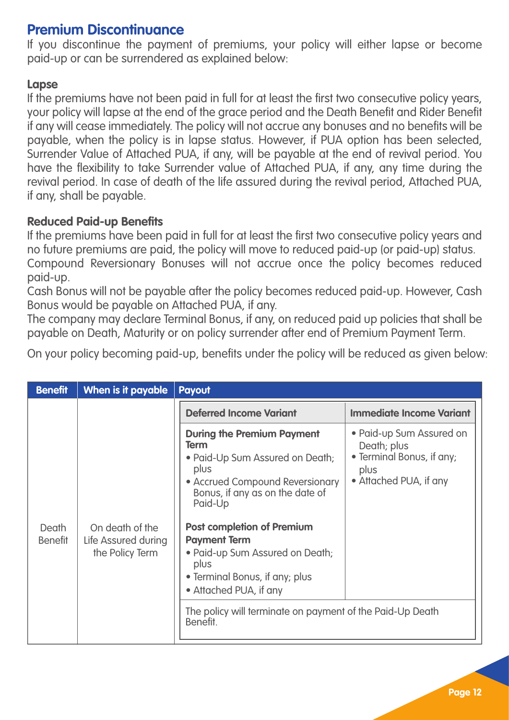#### **Premium Discontinuance**

If you discontinue the payment of premiums, your policy will either lapse or become paid-up or can be surrendered as explained below:

#### **Lapse**

If the premiums have not been paid in full for at least the first two consecutive policy years, your policy will lapse at the end of the grace period and the Death Benefit and Rider Benefit if any will cease immediately. The policy will not accrue any bonuses and no benefits will be payable, when the policy is in lapse status. However, if PUA option has been selected, Surrender Value of Attached PUA, if any, will be payable at the end of revival period. You have the flexibility to take Surrender value of Attached PUA, if any, any time during the revival period. In case of death of the life assured during the revival period, Attached PUA, if any, shall be payable.

#### **Reduced Paid-up Benefits**

If the premiums have been paid in full for at least the first two consecutive policy years and no future premiums are paid, the policy will move to reduced paid-up (or paid-up) status. Compound Reversionary Bonuses will not accrue once the policy becomes reduced paid-up.

Cash Bonus will not be payable after the policy becomes reduced paid-up. However, Cash Bonus would be payable on Attached PUA, if any.

The company may declare Terminal Bonus, if any, on reduced paid up policies that shall be payable on Death, Maturity or on policy surrender after end of Premium Payment Term.

On your policy becoming paid-up, benefits under the policy will be reduced as given below:

| <b>Benefit</b>          | When is it payable                                        | Payout                                                                                                                                                                                                                                                                                                                                   |                                                                                                        |
|-------------------------|-----------------------------------------------------------|------------------------------------------------------------------------------------------------------------------------------------------------------------------------------------------------------------------------------------------------------------------------------------------------------------------------------------------|--------------------------------------------------------------------------------------------------------|
|                         |                                                           | Deferred Income Variant                                                                                                                                                                                                                                                                                                                  | <b>Immediate Income Variant</b>                                                                        |
| Death<br><b>Benefit</b> | On death of the<br>Life Assured during<br>the Policy Term | <b>During the Premium Payment</b><br>Term<br>• Paid-Up Sum Assured on Death;<br>plus<br>• Accrued Compound Reversionary<br>Bonus, if any as on the date of<br>Paid-Up<br><b>Post completion of Premium</b><br><b>Payment Term</b><br>• Paid-up Sum Assured on Death;<br>plus<br>• Terminal Bonus, if any; plus<br>• Attached PUA, if any | • Paid-up Sum Assured on<br>Death; plus<br>• Terminal Bonus, if any;<br>plus<br>• Attached PUA, if any |
|                         |                                                           | The policy will terminate on payment of the Paid-Up Death<br>Benefit.                                                                                                                                                                                                                                                                    |                                                                                                        |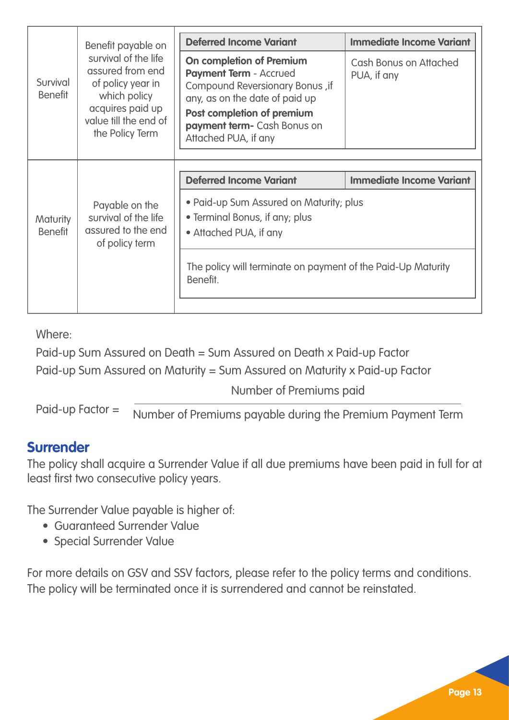|                                   | Benefit payable on                                                                                                                            | <b>Deferred Income Variant</b>                                                                                                                                                                                      | <b>Immediate Income Variant</b>       |
|-----------------------------------|-----------------------------------------------------------------------------------------------------------------------------------------------|---------------------------------------------------------------------------------------------------------------------------------------------------------------------------------------------------------------------|---------------------------------------|
| Survival<br><b>Benefit</b>        | survival of the life<br>assured from end<br>of policy year in<br>which policy<br>acquires paid up<br>value till the end of<br>the Policy Term | On completion of Premium<br><b>Payment Term - Accrued</b><br>Compound Reversionary Bonus, if<br>any, as on the date of paid up<br>Post completion of premium<br>payment term- Cash Bonus on<br>Attached PUA, if any | Cash Bonus on Attached<br>PUA, if any |
|                                   |                                                                                                                                               |                                                                                                                                                                                                                     |                                       |
|                                   |                                                                                                                                               |                                                                                                                                                                                                                     |                                       |
|                                   |                                                                                                                                               | Deferred Income Variant                                                                                                                                                                                             | <b>Immediate Income Variant</b>       |
| <b>Maturity</b><br><b>Benefit</b> | Payable on the<br>survival of the life<br>assured to the end<br>of policy term                                                                | • Paid-up Sum Assured on Maturity; plus<br>• Terminal Bonus, if any; plus<br>• Attached PUA, if any                                                                                                                 |                                       |
|                                   |                                                                                                                                               | The policy will terminate on payment of the Paid-Up Maturity<br>Benefit.                                                                                                                                            |                                       |

Where:

Paid-up Sum Assured on Death = Sum Assured on Death x Paid-up Factor

Paid-up Sum Assured on Maturity = Sum Assured on Maturity x Paid-up Factor

Number of Premiums paid

Paid-up Factor = Number of Premiums payable during the Premium Payment Term

#### **Surrender**

The policy shall acquire a Surrender Value if all due premiums have been paid in full for at least first two consecutive policy years.

The Surrender Value payable is higher of:

- Guaranteed Surrender Value
- Special Surrender Value

For more details on GSV and SSV factors, please refer to the policy terms and conditions. The policy will be terminated once it is surrendered and cannot be reinstated.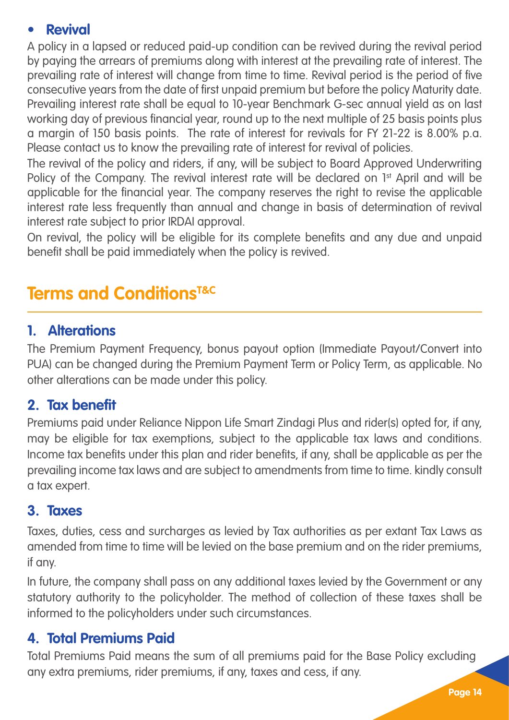#### **• Revival**

A policy in a lapsed or reduced paid-up condition can be revived during the revival period by paying the arrears of premiums along with interest at the prevailing rate of interest. The prevailing rate of interest will change from time to time. Revival period is the period of five consecutive years from the date of first unpaid premium but before the policy Maturity date. Prevailing interest rate shall be equal to 10-year Benchmark G-sec annual yield as on last working day of previous financial year, round up to the next multiple of 25 basis points plus a margin of 150 basis points. The rate of interest for revivals for FY 21-22 is 8.00% p.a. Please contact us to know the prevailing rate of interest for revival of policies.

The revival of the policy and riders, if any, will be subject to Board Approved Underwriting Policy of the Company. The revival interest rate will be declared on 1<sup>st</sup> April and will be applicable for the financial year. The company reserves the right to revise the applicable interest rate less frequently than annual and change in basis of determination of revival interest rate subject to prior IRDAI approval.

On revival, the policy will be eligible for its complete benefits and any due and unpaid benefit shall be paid immediately when the policy is revived.

### **Terms and ConditionsT&C**

#### **1. Alterations**

The Premium Payment Frequency, bonus payout option (Immediate Payout/Convert into PUA) can be changed during the Premium Payment Term or Policy Term, as applicable. No other alterations can be made under this policy.

#### **2. Tax benefit**

Premiums paid under Reliance Nippon Life Smart Zindagi Plus and rider(s) opted for, if any, may be eligible for tax exemptions, subject to the applicable tax laws and conditions. Income tax benefits under this plan and rider benefits, if any, shall be applicable as per the prevailing income tax laws and are subject to amendments from time to time. kindly consult a tax expert.

#### **3. Taxes**

Taxes, duties, cess and surcharges as levied by Tax authorities as per extant Tax Laws as amended from time to time will be levied on the base premium and on the rider premiums, if any.

In future, the company shall pass on any additional taxes levied by the Government or any statutory authority to the policyholder. The method of collection of these taxes shall be informed to the policyholders under such circumstances.

#### **4. Total Premiums Paid**

Total Premiums Paid means the sum of all premiums paid for the Base Policy excluding any extra premiums, rider premiums, if any, taxes and cess, if any.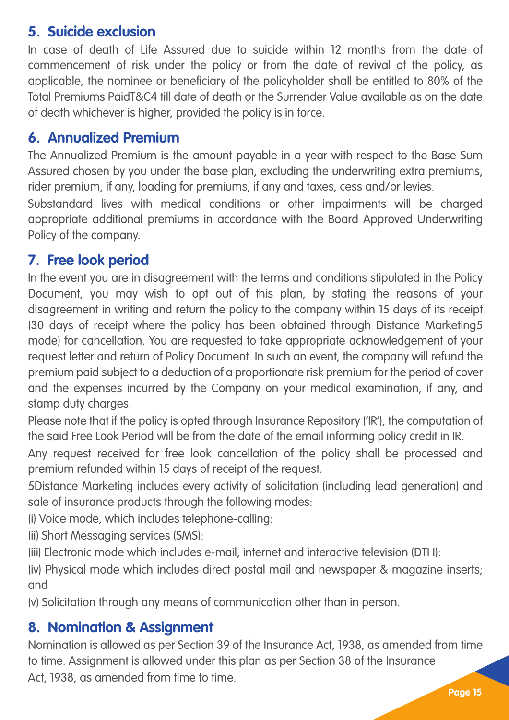#### **5. Suicide exclusion**

In case of death of Life Assured due to suicide within 12 months from the date of commencement of risk under the policy or from the date of revival of the policy, as applicable, the nominee or beneficiary of the policyholder shall be entitled to 80% of the Total Premiums PaidT&C4 till date of death or the Surrender Value available as on the date of death whichever is higher, provided the policy is in force.

#### **6. Annualized Premium**

The Annualized Premium is the amount payable in a year with respect to the Base Sum Assured chosen by you under the base plan, excluding the underwriting extra premiums, rider premium, if any, loading for premiums, if any and taxes, cess and/or levies.

Substandard lives with medical conditions or other impairments will be charged appropriate additional premiums in accordance with the Board Approved Underwriting Policy of the company.

### **7. Free look period**

In the event you are in disagreement with the terms and conditions stipulated in the Policy Document, you may wish to opt out of this plan, by stating the reasons of your disagreement in writing and return the policy to the company within 15 days of its receipt (30 days of receipt where the policy has been obtained through Distance Marketing5 mode) for cancellation. You are requested to take appropriate acknowledgement of your request letter and return of Policy Document. In such an event, the company will refund the premium paid subject to a deduction of a proportionate risk premium for the period of cover and the expenses incurred by the Company on your medical examination, if any, and stamp duty charges.

Please note that if the policy is opted through Insurance Repository ('IR'), the computation of the said Free Look Period will be from the date of the email informing policy credit in IR.

Any request received for free look cancellation of the policy shall be processed and premium refunded within 15 days of receipt of the request.

5Distance Marketing includes every activity of solicitation (including lead generation) and sale of insurance products through the following modes:

(i) Voice mode, which includes telephone-calling:

(ii) Short Messaging services (SMS):

(iii) Electronic mode which includes e-mail, internet and interactive television (DTH):

(iv) Physical mode which includes direct postal mail and newspaper & magazine inserts; and

(v) Solicitation through any means of communication other than in person.

#### **8. Nomination & Assignment**

Nomination is allowed as per Section 39 of the Insurance Act, 1938, as amended from time to time. Assignment is allowed under this plan as per Section 38 of the Insurance Act, 1938, as amended from time to time.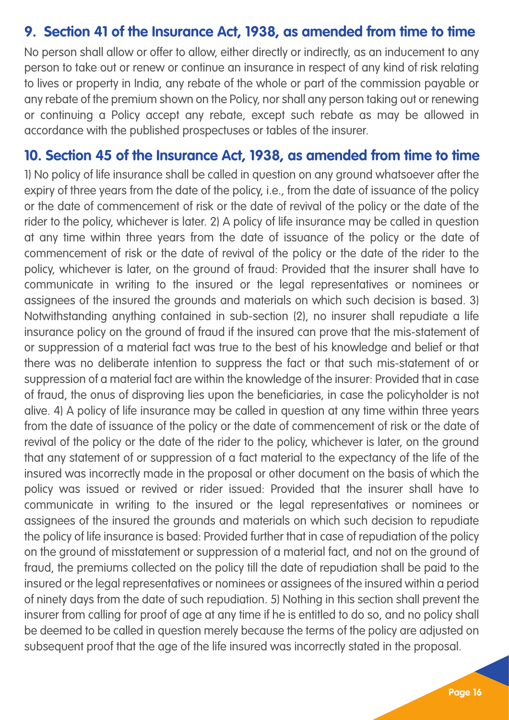#### **9. Section 41 of the Insurance Act, 1938, as amended from time to time**

No person shall allow or offer to allow, either directly or indirectly, as an inducement to any person to take out or renew or continue an insurance in respect of any kind of risk relating to lives or property in India, any rebate of the whole or part of the commission payable or any rebate of the premium shown on the Policy, nor shall any person taking out or renewing or continuing a Policy accept any rebate, except such rebate as may be allowed in accordance with the published prospectuses or tables of the insurer.

#### **10. Section 45 of the Insurance Act, 1938, as amended from time to time**

1) No policy of life insurance shall be called in question on any ground whatsoever after the expiry of three years from the date of the policy, i.e., from the date of issuance of the policy or the date of commencement of risk or the date of revival of the policy or the date of the rider to the policy, whichever is later. 2) A policy of life insurance may be called in question at any time within three years from the date of issuance of the policy or the date of commencement of risk or the date of revival of the policy or the date of the rider to the policy, whichever is later, on the ground of fraud: Provided that the insurer shall have to communicate in writing to the insured or the legal representatives or nominees or assignees of the insured the grounds and materials on which such decision is based. 3) Notwithstanding anything contained in sub-section (2), no insurer shall repudiate a life insurance policy on the ground of fraud if the insured can prove that the mis-statement of or suppression of a material fact was true to the best of his knowledge and belief or that there was no deliberate intention to suppress the fact or that such mis-statement of or suppression of a material fact are within the knowledge of the insurer: Provided that in case of fraud, the onus of disproving lies upon the beneficiaries, in case the policyholder is not alive. 4) A policy of life insurance may be called in question at any time within three years from the date of issuance of the policy or the date of commencement of risk or the date of revival of the policy or the date of the rider to the policy, whichever is later, on the ground that any statement of or suppression of a fact material to the expectancy of the life of the insured was incorrectly made in the proposal or other document on the basis of which the policy was issued or revived or rider issued: Provided that the insurer shall have to communicate in writing to the insured or the legal representatives or nominees or assignees of the insured the grounds and materials on which such decision to repudiate the policy of life insurance is based: Provided further that in case of repudiation of the policy on the ground of misstatement or suppression of a material fact, and not on the ground of fraud, the premiums collected on the policy till the date of repudiation shall be paid to the insured or the legal representatives or nominees or assignees of the insured within a period of ninety days from the date of such repudiation. 5) Nothing in this section shall prevent the insurer from calling for proof of age at any time if he is entitled to do so, and no policy shall be deemed to be called in question merely because the terms of the policy are adjusted on subsequent proof that the age of the life insured was incorrectly stated in the proposal.